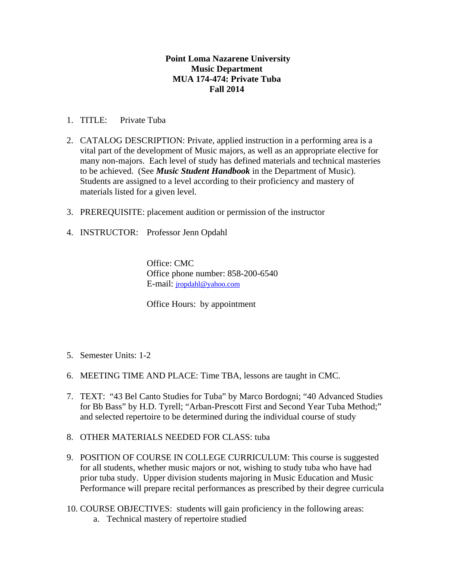## **Point Loma Nazarene University Music Department MUA 174-474: Private Tuba Fall 2014**

- 1. TITLE: Private Tuba
- 2. CATALOG DESCRIPTION: Private, applied instruction in a performing area is a vital part of the development of Music majors, as well as an appropriate elective for many non-majors. Each level of study has defined materials and technical masteries to be achieved. (See *Music Student Handbook* in the Department of Music). Students are assigned to a level according to their proficiency and mastery of materials listed for a given level.
- 3. PREREQUISITE: placement audition or permission of the instructor
- 4. INSTRUCTOR: Professor Jenn Opdahl

Office: CMC Office phone number: 858-200-6540 E-mail: jropdahl@yahoo.com

Office Hours: by appointment

- 5. Semester Units: 1-2
- 6. MEETING TIME AND PLACE: Time TBA, lessons are taught in CMC.
- 7. TEXT: "43 Bel Canto Studies for Tuba" by Marco Bordogni; "40 Advanced Studies for Bb Bass" by H.D. Tyrell; "Arban-Prescott First and Second Year Tuba Method;" and selected repertoire to be determined during the individual course of study
- 8. OTHER MATERIALS NEEDED FOR CLASS: tuba
- 9. POSITION OF COURSE IN COLLEGE CURRICULUM: This course is suggested for all students, whether music majors or not, wishing to study tuba who have had prior tuba study. Upper division students majoring in Music Education and Music Performance will prepare recital performances as prescribed by their degree curricula
- 10. COURSE OBJECTIVES: students will gain proficiency in the following areas:
	- a. Technical mastery of repertoire studied